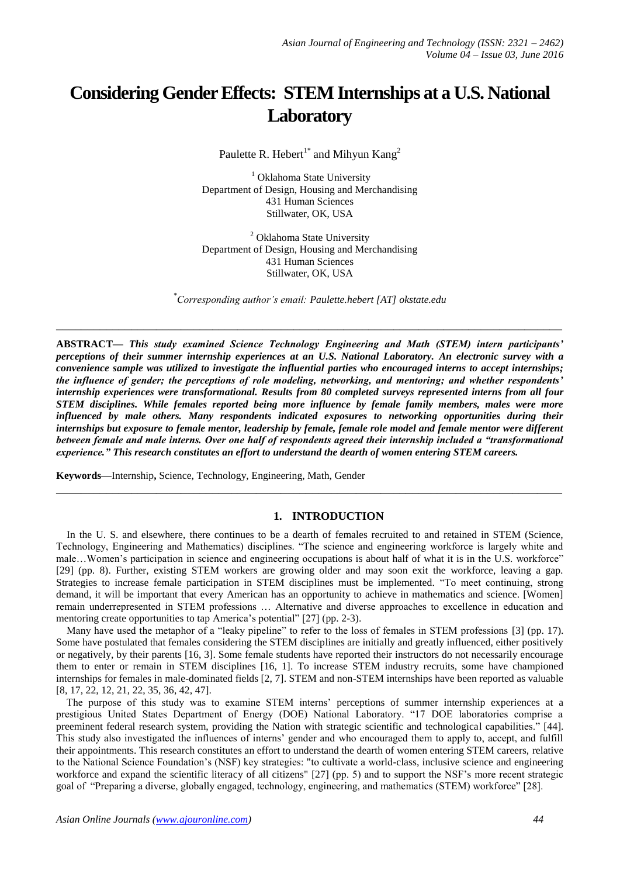# **Considering Gender Effects: STEM Internships at a U.S. National Laboratory**

Paulette R. Hebert<sup>1\*</sup> and Mihyun Kang<sup>2</sup>

<sup>1</sup> Oklahoma State University Department of Design, Housing and Merchandising 431 Human Sciences Stillwater, OK, USA

<sup>2</sup> Oklahoma State University Department of Design, Housing and Merchandising 431 Human Sciences Stillwater, OK, USA

*\* Corresponding author's email: Paulette.hebert [AT] okstate.edu*

**\_\_\_\_\_\_\_\_\_\_\_\_\_\_\_\_\_\_\_\_\_\_\_\_\_\_\_\_\_\_\_\_\_\_\_\_\_\_\_\_\_\_\_\_\_\_\_\_\_\_\_\_\_\_\_\_\_\_\_\_\_\_\_\_\_\_\_\_\_\_\_\_\_\_\_\_\_\_\_\_\_**

**ABSTRACT—** *This study examined Science Technology Engineering and Math (STEM) intern participants' perceptions of their summer internship experiences at an U.S. National Laboratory. An electronic survey with a convenience sample was utilized to investigate the influential parties who encouraged interns to accept internships; the influence of gender; the perceptions of role modeling, networking, and mentoring; and whether respondents' internship experiences were transformational. Results from 80 completed surveys represented interns from all four STEM disciplines. While females reported being more influence by female family members, males were more influenced by male others. Many respondents indicated exposures to networking opportunities during their internships but exposure to female mentor, leadership by female, female role model and female mentor were different between female and male interns. Over one half of respondents agreed their internship included a "transformational experience." This research constitutes an effort to understand the dearth of women entering STEM careers.*

**Keywords—**Internship**,** Science, Technology, Engineering, Math, Gender

### **1. INTRODUCTION**

In the U. S. and elsewhere, there continues to be a dearth of females recruited to and retained in STEM (Science, Technology, Engineering and Mathematics) disciplines. "The science and engineering workforce is largely white and male…Women's participation in science and engineering occupations is about half of what it is in the U.S. workforce" [29] (pp. 8). Further, existing STEM workers are growing older and may soon exit the workforce, leaving a gap. Strategies to increase female participation in STEM disciplines must be implemented. "To meet continuing, strong demand, it will be important that every American has an opportunity to achieve in mathematics and science. [Women] remain underrepresented in STEM professions … Alternative and diverse approaches to excellence in education and mentoring create opportunities to tap America's potential" [27] (pp. 2-3).

**\_\_\_\_\_\_\_\_\_\_\_\_\_\_\_\_\_\_\_\_\_\_\_\_\_\_\_\_\_\_\_\_\_\_\_\_\_\_\_\_\_\_\_\_\_\_\_\_\_\_\_\_\_\_\_\_\_\_\_\_\_\_\_\_\_\_\_\_\_\_\_\_\_\_\_\_\_\_\_\_\_**

 Many have used the metaphor of a "leaky pipeline" to refer to the loss of females in STEM professions [3] (pp. 17). Some have postulated that females considering the STEM disciplines are initially and greatly influenced, either positively or negatively, by their parents [16, 3]. Some female students have reported their instructors do not necessarily encourage them to enter or remain in STEM disciplines [16, 1]. To increase STEM industry recruits, some have championed internships for females in male-dominated fields [2, 7]. STEM and non-STEM internships have been reported as valuable [8, 17, 22, 12, 21, 22, 35, 36, 42, 47].

The purpose of this study was to examine STEM interns' perceptions of summer internship experiences at a prestigious United States Department of Energy (DOE) National Laboratory. "17 DOE laboratories comprise a preeminent federal research system, providing the Nation with strategic scientific and technological capabilities." [44]. This study also investigated the influences of interns' gender and who encouraged them to apply to, accept, and fulfill their appointments. This research constitutes an effort to understand the dearth of women entering STEM careers, relative to the National Science Foundation's (NSF) key strategies: "to cultivate a world-class, inclusive science and engineering workforce and expand the scientific literacy of all citizens" [27] (pp. 5) and to support the NSF's more recent strategic goal of "Preparing a diverse, globally engaged, technology, engineering, and mathematics (STEM) workforce" [28].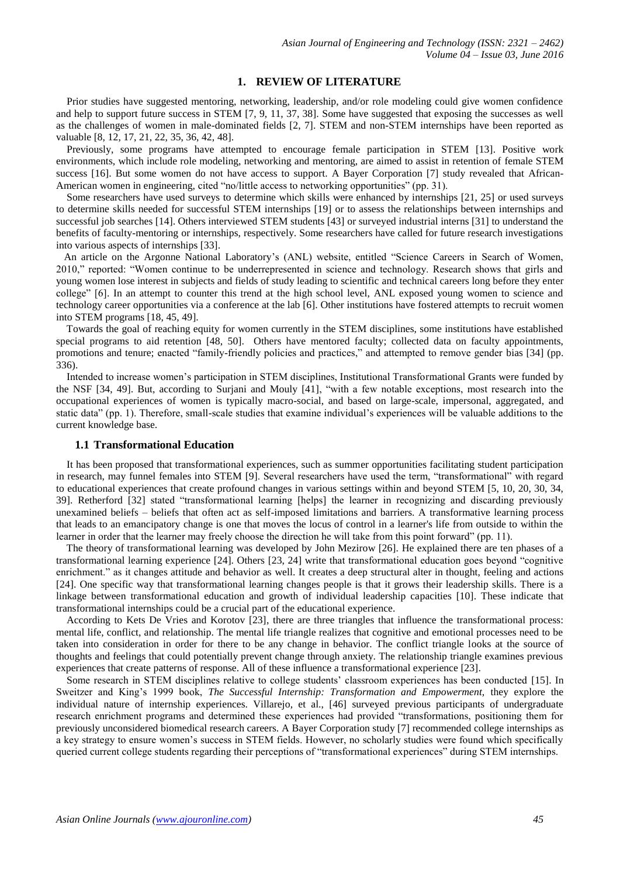## **1. REVIEW OF LITERATURE**

 Prior studies have suggested mentoring, networking, leadership, and/or role modeling could give women confidence and help to support future success in STEM [7, 9, 11, 37, 38]. Some have suggested that exposing the successes as well as the challenges of women in male-dominated fields [2, 7]. STEM and non-STEM internships have been reported as valuable [8, 12, 17, 21, 22, 35, 36, 42, 48].

 Previously, some programs have attempted to encourage female participation in STEM [13]. Positive work environments, which include role modeling, networking and mentoring, are aimed to assist in retention of female STEM success [16]. But some women do not have access to support. A Bayer Corporation [7] study revealed that African-American women in engineering, cited "no/little access to networking opportunities" (pp. 31).

 Some researchers have used surveys to determine which skills were enhanced by internships [21, 25] or used surveys to determine skills needed for successful STEM internships [19] or to assess the relationships between internships and successful job searches [14]. Others interviewed STEM students [43] or surveyed industrial interns [31] to understand the benefits of faculty-mentoring or internships, respectively. Some researchers have called for future research investigations into various aspects of internships [33].

An article on the Argonne National Laboratory's (ANL) website, entitled "Science Careers in Search of Women, 2010," reported: "Women continue to be underrepresented in science and technology. Research shows that girls and young women lose interest in subjects and fields of study leading to scientific and technical careers long before they enter college" [6]. In an attempt to counter this trend at the high school level, ANL exposed young women to science and technology career opportunities via a conference at the lab [6]. Other institutions have fostered attempts to recruit women into STEM programs [18, 45, 49].

 Towards the goal of reaching equity for women currently in the STEM disciplines, some institutions have established special programs to aid retention [48, 50]. Others have mentored faculty; collected data on faculty appointments, promotions and tenure; enacted "family-friendly policies and practices," and attempted to remove gender bias [34] (pp. 336).

 Intended to increase women's participation in STEM disciplines, Institutional Transformational Grants were funded by the NSF [34, 49]. But, according to Surjani and Mouly [41], "with a few notable exceptions, most research into the occupational experiences of women is typically macro-social, and based on large-scale, impersonal, aggregated, and static data" (pp. 1). Therefore, small-scale studies that examine individual's experiences will be valuable additions to the current knowledge base.

#### **1.1 Transformational Education**

 It has been proposed that transformational experiences, such as summer opportunities facilitating student participation in research, may funnel females into STEM [9]. Several researchers have used the term, "transformational" with regard to educational experiences that create profound changes in various settings within and beyond STEM [5, 10, 20, 30, 34, 39]. Retherford [32] stated "transformational learning [helps] the learner in recognizing and discarding previously unexamined beliefs – beliefs that often act as self-imposed limitations and barriers. A transformative learning process that leads to an emancipatory change is one that moves the locus of control in a learner's life from outside to within the learner in order that the learner may freely choose the direction he will take from this point forward" (pp. 11).

 The theory of transformational learning was developed by John Mezirow [26]. He explained there are ten phases of a transformational learning experience [24]. Others [23, 24] write that transformational education goes beyond "cognitive enrichment." as it changes attitude and behavior as well. It creates a deep structural alter in thought, feeling and actions [24]. One specific way that transformational learning changes people is that it grows their leadership skills. There is a linkage between transformational education and growth of individual leadership capacities [10]. These indicate that transformational internships could be a crucial part of the educational experience.

 According to Kets De Vries and Korotov [23], there are three triangles that influence the transformational process: mental life, conflict, and relationship. The mental life triangle realizes that cognitive and emotional processes need to be taken into consideration in order for there to be any change in behavior. The conflict triangle looks at the source of thoughts and feelings that could potentially prevent change through anxiety. The relationship triangle examines previous experiences that create patterns of response. All of these influence a transformational experience [23].

 Some research in STEM disciplines relative to college students' classroom experiences has been conducted [15]. In Sweitzer and King's 1999 book, *The Successful Internship: Transformation and Empowerment,* they explore the individual nature of internship experiences. Villarejo, et al., [46] surveyed previous participants of undergraduate research enrichment programs and determined these experiences had provided "transformations, positioning them for previously unconsidered biomedical research careers. A Bayer Corporation study [7] recommended college internships as a key strategy to ensure women's success in STEM fields. However, no scholarly studies were found which specifically queried current college students regarding their perceptions of "transformational experiences" during STEM internships.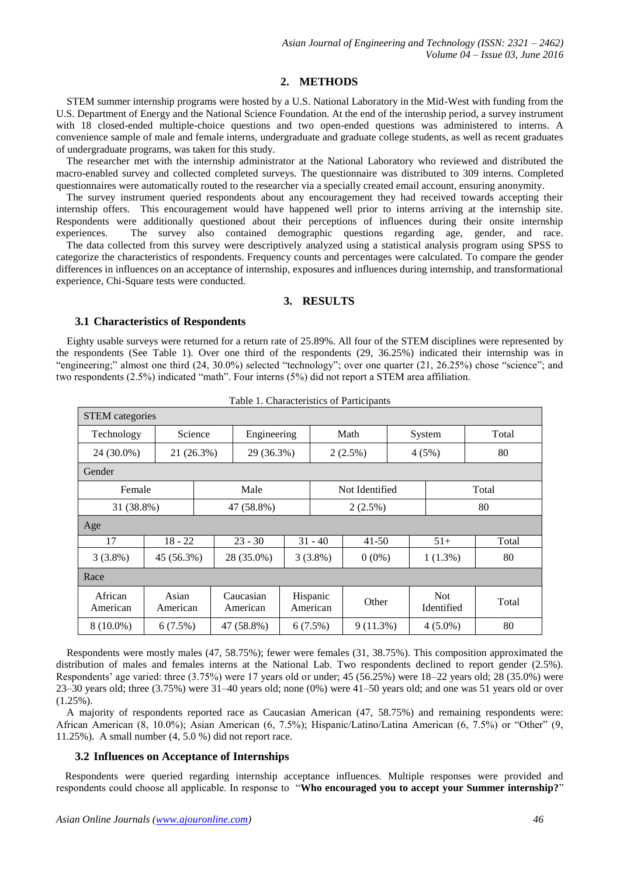## **2. METHODS**

 STEM summer internship programs were hosted by a U.S. National Laboratory in the Mid-West with funding from the U.S. Department of Energy and the National Science Foundation. At the end of the internship period, a survey instrument with 18 closed-ended multiple-choice questions and two open-ended questions was administered to interns. A convenience sample of male and female interns, undergraduate and graduate college students, as well as recent graduates of undergraduate programs, was taken for this study.

 The researcher met with the internship administrator at the National Laboratory who reviewed and distributed the macro-enabled survey and collected completed surveys. The questionnaire was distributed to 309 interns. Completed questionnaires were automatically routed to the researcher via a specially created email account, ensuring anonymity.

 The survey instrument queried respondents about any encouragement they had received towards accepting their internship offers. This encouragement would have happened well prior to interns arriving at the internship site. Respondents were additionally questioned about their perceptions of influences during their onsite internship experiences. The survey also contained demographic questions regarding age, gender, and race.

 The data collected from this survey were descriptively analyzed using a statistical analysis program using SPSS to categorize the characteristics of respondents. Frequency counts and percentages were calculated. To compare the gender differences in influences on an acceptance of internship, exposures and influences during internship, and transformational experience, Chi-Square tests were conducted.

## **3. RESULTS**

#### **3.1 Characteristics of Respondents**

 Eighty usable surveys were returned for a return rate of 25.89%. All four of the STEM disciplines were represented by the respondents (See Table 1). Over one third of the respondents (29, 36.25%) indicated their internship was in "engineering;" almost one third (24, 30.0%) selected "technology"; over one quarter (21, 26.25%) chose "science"; and two respondents (2.5%) indicated "math". Four interns (5%) did not report a STEM area affiliation.

| <b>STEM</b> categories                    |                   |                       |            |                      |                        |             |  |                          |       |
|-------------------------------------------|-------------------|-----------------------|------------|----------------------|------------------------|-------------|--|--------------------------|-------|
| Technology<br>Science                     |                   | Engineering           |            | Math                 |                        | System      |  | Total                    |       |
| 24 (30.0%)                                |                   | 21 (26.3%)            | 29 (36.3%) |                      |                        | $2(2.5\%)$  |  | 4(5%)                    | 80    |
| Gender                                    |                   |                       |            |                      |                        |             |  |                          |       |
| Male<br>Not Identified<br>Total<br>Female |                   |                       |            |                      |                        |             |  |                          |       |
| 31 (38.8%)                                |                   |                       | 47 (58.8%) |                      | 2(2.5%)                |             |  | 80                       |       |
| Age                                       |                   |                       |            |                      |                        |             |  |                          |       |
| 17                                        | $18 - 22$         |                       | $23 - 30$  |                      | $31 - 40$              | $41 - 50$   |  | $51+$                    | Total |
| $3(3.8\%)$                                | 45 (56.3%)        | 28 (35.0%)            |            |                      | $3(3.8\%)$<br>$0(0\%)$ |             |  | $1(1.3\%)$               | 80    |
| Race                                      |                   |                       |            |                      |                        |             |  |                          |       |
| African<br>American                       | Asian<br>American | Caucasian<br>American |            | Hispanic<br>American |                        | Other       |  | <b>Not</b><br>Identified | Total |
| $8(10.0\%)$                               | 6(7.5%)           |                       | 47 (58.8%) |                      | 6(7.5%)                | $9(11.3\%)$ |  | $4(5.0\%)$               | 80    |

|  | Table 1. Characteristics of Participants |  |
|--|------------------------------------------|--|
|--|------------------------------------------|--|

 Respondents were mostly males (47, 58.75%); fewer were females (31, 38.75%). This composition approximated the distribution of males and females interns at the National Lab. Two respondents declined to report gender (2.5%). Respondents' age varied: three (3.75%) were 17 years old or under; 45 (56.25%) were 18–22 years old; 28 (35.0%) were 23–30 years old; three (3.75%) were 31–40 years old; none (0%) were 41–50 years old; and one was 51 years old or over (1.25%).

 A majority of respondents reported race as Caucasian American (47, 58.75%) and remaining respondents were: African American (8, 10.0%); Asian American (6, 7.5%); Hispanic/Latino/Latina American (6, 7.5%) or "Other" (9, 11.25%). A small number (4, 5.0 %) did not report race.

## **3.2 Influences on Acceptance of Internships**

Respondents were queried regarding internship acceptance influences. Multiple responses were provided and respondents could choose all applicable. In response to "**Who encouraged you to accept your Summer internship?**"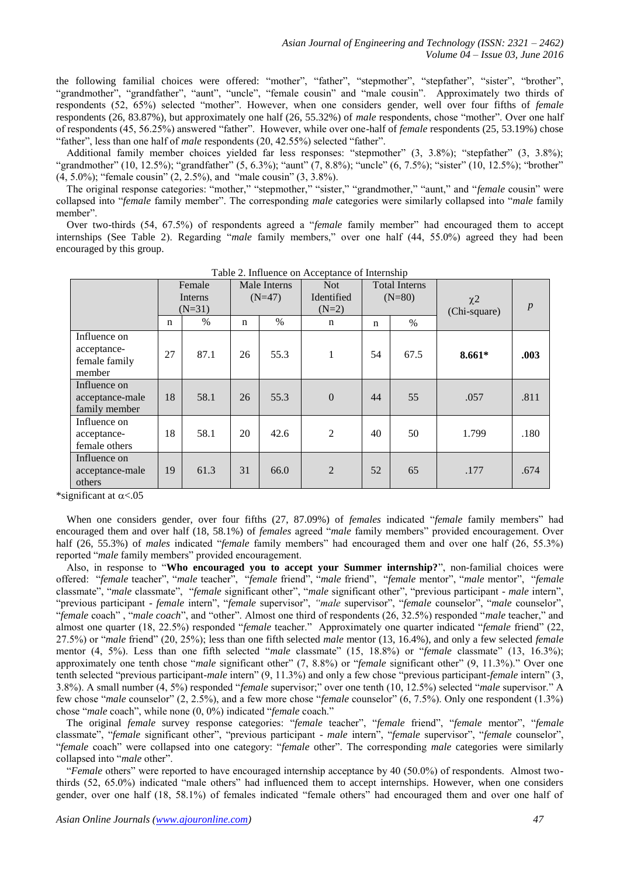the following familial choices were offered: "mother", "father", "stepmother", "stepfather", "sister", "brother", "grandmother", "grandfather", "aunt", "uncle", "female cousin" and "male cousin". Approximately two thirds of respondents (52, 65%) selected "mother". However, when one considers gender, well over four fifths of *female* respondents (26, 83.87%), but approximately one half (26, 55.32%) of *male* respondents, chose "mother". Over one half of respondents (45, 56.25%) answered "father". However, while over one-half of *female* respondents (25, 53.19%) chose "father", less than one half of *male* respondents (20, 42.55%) selected "father".

 Additional family member choices yielded far less responses: "stepmother" (3, 3.8%); "stepfather" (3, 3.8%); "grandmother" (10, 12.5%); "grandfather" (5, 6.3%); "aunt" (7, 8.8%); "uncle" (6, 7.5%); "sister" (10, 12.5%); "brother" (4, 5.0%); "female cousin" (2, 2.5%), and "male cousin" (3, 3.8%).

 The original response categories: "mother," "stepmother," "sister," "grandmother," "aunt," and "*female* cousin" were collapsed into "*female* family member". The corresponding *male* categories were similarly collapsed into "*male* family member".

 Over two-thirds (54, 67.5%) of respondents agreed a "*female* family member" had encouraged them to accept internships (See Table 2). Regarding "*male* family members," over one half (44, 55.0%) agreed they had been encouraged by this group.

|                                                        | Female<br>Interns<br>$(N=31)$ |      | Male Interns<br>$(N=47)$ |      | <b>Not</b><br>Identified<br>$(N=2)$ | <b>Total Interns</b><br>$(N=80)$ |      | $\chi$ <sup>2</sup><br>(Chi-square) | $\boldsymbol{p}$ |
|--------------------------------------------------------|-------------------------------|------|--------------------------|------|-------------------------------------|----------------------------------|------|-------------------------------------|------------------|
|                                                        | $\mathbf n$                   | $\%$ | $\mathbf n$              | $\%$ | n                                   | $\mathbf n$                      | $\%$ |                                     |                  |
| Influence on<br>acceptance-<br>female family<br>member | 27                            | 87.1 | 26                       | 55.3 | 1                                   | 54                               | 67.5 | $8.661*$                            | .003             |
| Influence on<br>acceptance-male<br>family member       | 18                            | 58.1 | 26                       | 55.3 | $\boldsymbol{0}$                    | 44                               | 55   | .057                                | .811             |
| Influence on<br>acceptance-<br>female others           | 18                            | 58.1 | 20                       | 42.6 | $\overline{2}$                      | 40                               | 50   | 1.799                               | .180             |
| Influence on<br>acceptance-male<br>others              | 19                            | 61.3 | 31                       | 66.0 | $\overline{2}$                      | 52                               | 65   | .177                                | .674             |

Table 2. Influence on Acceptance of Internship

\*significant at  $\alpha$ <.05

 When one considers gender, over four fifths (27, 87.09%) of *females* indicated "*female* family members" had encouraged them and over half (18, 58.1%) of *females* agreed "*male* family members" provided encouragement. Over half (26, 55.3%) of *males* indicated "*female* family members" had encouraged them and over one half (26, 55.3%) reported "*male* family members" provided encouragement.

 Also, in response to "**Who encouraged you to accept your Summer internship?**", non-familial choices were offered: "*female* teacher", "*male* teacher", "*female* friend", "*male* friend", "*female* mentor", "*male* mentor", "*female* classmate", "*male* classmate", "*female* significant other", "*male* significant other", "previous participant - *male* intern", "previous participant - *female* intern", "*female* supervisor", *"male* supervisor", "*female* counselor", "*male* counselor", "*female* coach" , "*male coach*", and "other". Almost one third of respondents (26, 32.5%) responded "*male* teacher," and almost one quarter (18, 22.5%) responded "*female* teacher." Approximately one quarter indicated "*female* friend" (22, 27.5%) or "*male* friend" (20, 25%); less than one fifth selected *male* mentor (13, 16.4%), and only a few selected *female*  mentor (4, 5%). Less than one fifth selected "*male* classmate" (15, 18.8%) or "*female* classmate" (13, 16.3%); approximately one tenth chose "*male* significant other" (7, 8.8%) or "*female* significant other" (9, 11.3%)." Over one tenth selected "previous participant-*male* intern" (9, 11.3%) and only a few chose "previous participant-*female* intern" (3, 3.8%). A small number (4, 5%) responded "*female* supervisor;" over one tenth (10, 12.5%) selected "*male* supervisor." A few chose "*male* counselor" (2, 2.5%), and a few more chose "*female* counselor" (6, 7.5%). Only one respondent (1.3%) chose "*male* coach", while none (0, 0%) indicated "*female* coach."

 The original *female* survey response categories: "*female* teacher", "*female* friend", "*female* mentor", "*female* classmate", "*female* significant other", "previous participant - *male* intern", "*female* supervisor", "*female* counselor", "*female* coach" were collapsed into one category: "*female* other". The corresponding *male* categories were similarly collapsed into "*male* other".

 "*Female* others" were reported to have encouraged internship acceptance by 40 (50.0%) of respondents. Almost twothirds (52, 65.0%) indicated "male others" had influenced them to accept internships. However, when one considers gender, over one half (18, 58.1%) of females indicated "female others" had encouraged them and over one half of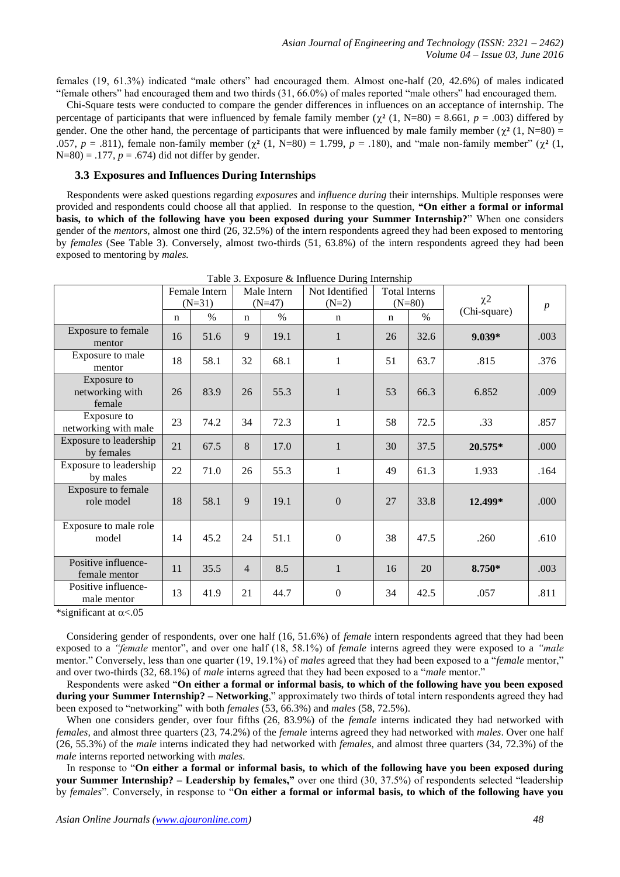females (19, 61.3%) indicated "male others" had encouraged them. Almost one-half (20, 42.6%) of males indicated "female others" had encouraged them and two thirds (31, 66.0%) of males reported "male others" had encouraged them.

 Chi-Square tests were conducted to compare the gender differences in influences on an acceptance of internship. The percentage of participants that were influenced by female family member ( $\chi^2$  (1, N=80) = 8.661, *p* = .003) differed by gender. One the other hand, the percentage of participants that were influenced by male family member  $(\chi^2 (1, N=80)$  = .057,  $p = .811$ ), female non-family member  $(\chi^2 (1, N=80) = 1.799, p = .180)$ , and "male non-family member"  $(\chi^2 (1, N=80) = 1.799, p = .180)$  $N=80$ ) = .177,  $p = .674$ ) did not differ by gender.

#### **3.3 Exposures and Influences During Internships**

 Respondents were asked questions regarding *exposures* and *influence during* their internships. Multiple responses were provided and respondents could choose all that applied. In response to the question, **―On either a formal or informal basis, to which of the following have you been exposed during your Summer Internship?**" When one considers gender of the *mentors*, almost one third (26, 32.5%) of the intern respondents agreed they had been exposed to mentoring by *females* (See Table 3). Conversely, almost two-thirds (51, 63.8%) of the intern respondents agreed they had been exposed to mentoring by *males.*

|                                          | Female Intern<br>$(N=31)$ |      | Male Intern<br>$(N=47)$ |      | Not Identified<br>$(N=2)$ | <b>Total Interns</b><br>$(N=80)$ |               | $\chi$ <sup>2</sup> | $\boldsymbol{p}$ |
|------------------------------------------|---------------------------|------|-------------------------|------|---------------------------|----------------------------------|---------------|---------------------|------------------|
|                                          | $\mathbf n$               | $\%$ | $\mathbf n$             | $\%$ | $\mathbf n$               | $\mathbf n$                      | $\frac{0}{0}$ | (Chi-square)        |                  |
| Exposure to female<br>mentor             | 16                        | 51.6 | 9                       | 19.1 | $\mathbf{1}$              | 26                               | 32.6          | $9.039*$            | .003             |
| Exposure to male<br>mentor               | 18                        | 58.1 | 32                      | 68.1 | 1                         | 51                               | 63.7          | .815                | .376             |
| Exposure to<br>networking with<br>female | 26                        | 83.9 | 26                      | 55.3 | $\mathbf{1}$              | 53                               | 66.3          | 6.852               | .009             |
| Exposure to<br>networking with male      | 23                        | 74.2 | 34                      | 72.3 | $\mathbf{1}$              | 58                               | 72.5          | .33                 | .857             |
| Exposure to leadership<br>by females     | 21                        | 67.5 | 8                       | 17.0 | $\mathbf{1}$              | 30                               | 37.5          | 20.575*             | .000             |
| Exposure to leadership<br>by males       | 22                        | 71.0 | 26                      | 55.3 | 1                         | 49                               | 61.3          | 1.933               | .164             |
| Exposure to female<br>role model         | 18                        | 58.1 | 9                       | 19.1 | $\mathbf{0}$              | 27                               | 33.8          | 12.499*             | .000             |
| Exposure to male role<br>model           | 14                        | 45.2 | 24                      | 51.1 | $\boldsymbol{0}$          | 38                               | 47.5          | .260                | .610             |
| Positive influence-<br>female mentor     | 11                        | 35.5 | $\overline{4}$          | 8.5  | $\mathbf{1}$              | 16                               | 20            | 8.750*              | .003             |
| Positive influence-<br>male mentor       | 13                        | 41.9 | 21                      | 44.7 | $\mathbf{0}$              | 34                               | 42.5          | .057                | .811             |

Table 3. Exposure & Influence During Internship

\*significant at  $\alpha$  <.05

 Considering gender of respondents, over one half (16, 51.6%) of *female* intern respondents agreed that they had been exposed to a *"female* mentor", and over one half (18, 58.1%) of *female* interns agreed they were exposed to a *"male* mentor." Conversely, less than one quarter (19, 19.1%) of *males* agreed that they had been exposed to a "*female* mentor," and over two-thirds (32, 68.1%) of *male* interns agreed that they had been exposed to a "*male* mentor."

 Respondents were asked "**On either a formal or informal basis, to which of the following have you been exposed during your Summer Internship? – Networking**," approximately two thirds of total intern respondents agreed they had been exposed to "networking" with both *females* (53, 66.3%) and *males* (58, 72.5%).

 When one considers gender, over four fifths (26, 83.9%) of the *female* interns indicated they had networked with *females,* and almost three quarters (23, 74.2%) of the *female* interns agreed they had networked with *males*. Over one half (26, 55.3%) of the *male* interns indicated they had networked with *females,* and almost three quarters (34, 72.3%) of the *male* interns reported networking with *males*.

 In response to "**On either a formal or informal basis, to which of the following have you been exposed during your Summer Internship?** – Leadership by females," over one third (30, 37.5%) of respondents selected "leadership by *females*". Conversely, in response to "**On either a formal or informal basis, to which of the following have you**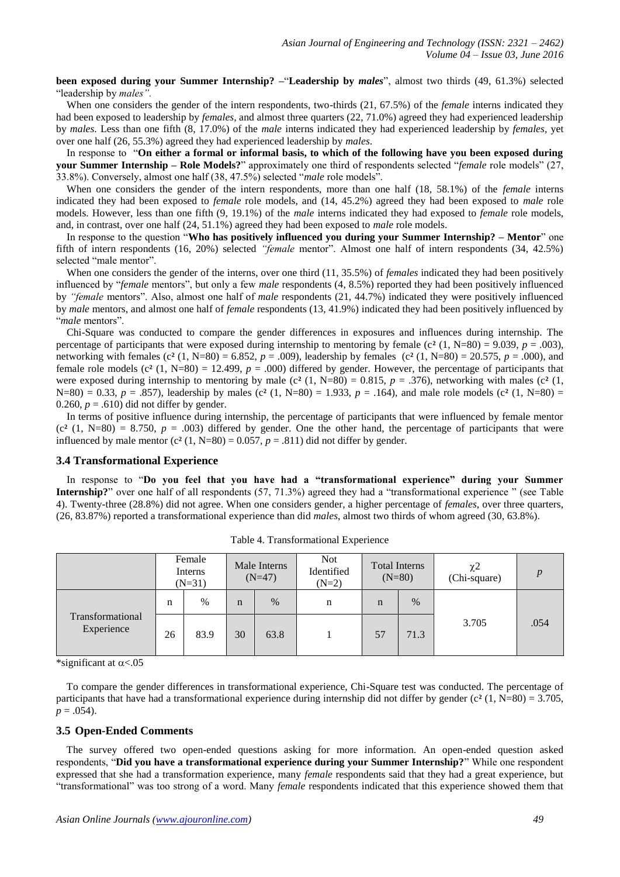**been exposed during your Summer Internship? –**"**Leadership by** *males*", almost two thirds (49, 61.3%) selected "leadership by *males".*

When one considers the gender of the intern respondents, two-thirds (21, 67.5%) of the *female* interns indicated they had been exposed to leadership by *females,* and almost three quarters (22, 71.0%) agreed they had experienced leadership by *males*. Less than one fifth (8, 17.0%) of the *male* interns indicated they had experienced leadership by *females,* yet over one half (26, 55.3%) agreed they had experienced leadership by *males*.

 In response to "**On either a formal or informal basis, to which of the following have you been exposed during your Summer Internship – Role Models?**" approximately one third of respondents selected "*female* role models" (27, 33.8%). Conversely, almost one half (38, 47.5%) selected "*male* role models".

 When one considers the gender of the intern respondents, more than one half (18, 58.1%) of the *female* interns indicated they had been exposed to *female* role models, and (14, 45.2%) agreed they had been exposed to *male* role models. However, less than one fifth (9, 19.1%) of the *male* interns indicated they had exposed to *female* role models, and, in contrast, over one half (24, 51.1%) agreed they had been exposed to *male* role models.

 In response to the question "**Who has positively influenced you during your Summer Internship? – Mentor**" one fifth of intern respondents (16, 20%) selected *"female* mentor". Almost one half of intern respondents (34, 42.5%) selected "male mentor".

 When one considers the gender of the interns, over one third (11, 35.5%) of *females* indicated they had been positively influenced by "*female* mentors", but only a few *male* respondents (4, 8.5%) reported they had been positively influenced by *"female* mentors". Also, almost one half of *male* respondents (21, 44.7%) indicated they were positively influenced by *male* mentors, and almost one half of *female* respondents (13, 41.9%) indicated they had been positively influenced by "*male* mentors".

 Chi-Square was conducted to compare the gender differences in exposures and influences during internship. The percentage of participants that were exposed during internship to mentoring by female ( $c^2$  (1, N=80) = 9.039,  $p = .003$ ), networking with females (c<sup>2</sup> (1, N=80) = 6.852,  $p = .009$ ), leadership by females (c<sup>2</sup> (1, N=80) = 20.575,  $p = .000$ ), and female role models  $(c<sup>2</sup> (1, N=80) = 12.499, p = .000)$  differed by gender. However, the percentage of participants that were exposed during internship to mentoring by male (c<sup>2</sup> (1, N=80) = 0.815,  $p = .376$ ), networking with males (c<sup>2</sup> (1, N=80) = 0.33,  $p = .857$ ), leadership by males (c<sup>2</sup> (1, N=80) = 1.933,  $p = .164$ ), and male role models (c<sup>2</sup> (1, N=80) = 0.260,  $p = .610$ ) did not differ by gender.

 In terms of positive influence during internship, the percentage of participants that were influenced by female mentor  $(c<sup>2</sup> (1, N=80) = 8.750, p = .003)$  differed by gender. One the other hand, the percentage of participants that were influenced by male mentor  $(c^2 (1, N=80) = 0.057, p = .811)$  did not differ by gender.

#### **3.4 Transformational Experience**

In response to "Do you feel that you have had a "transformational experience" during your Summer **Internship?**" over one half of all respondents (57, 71.3%) agreed they had a "transformational experience " (see Table 4). Twenty-three (28.8%) did not agree. When one considers gender, a higher percentage of *females*, over three quarters, (26, 83.87%) reported a transformational experience than did *males*, almost two thirds of whom agreed (30, 63.8%).

|                                |    | Female<br>Interns<br>$(N=31)$ |    | Male Interns<br>$(N=47)$ | <b>Not</b><br>Identified<br>$(N=2)$ | <b>Total Interns</b><br>$(N=80)$ |      | $\chi$ 2<br>(Chi-square) | $\boldsymbol{n}$ |
|--------------------------------|----|-------------------------------|----|--------------------------|-------------------------------------|----------------------------------|------|--------------------------|------------------|
|                                | n  | $\%$                          | n  | $\%$                     | n                                   | n                                | $\%$ |                          | .054             |
| Transformational<br>Experience | 26 | 83.9                          | 30 | 63.8                     |                                     | 57                               | 71.3 | 3.705                    |                  |

Table 4. Transformational Experience

\*significant at  $\alpha$  < .05

 To compare the gender differences in transformational experience, Chi-Square test was conducted. The percentage of participants that have had a transformational experience during internship did not differ by gender ( $c<sup>2</sup>$  (1, N=80) = 3.705,  $p = .054$ ).

#### **3.5 Open-Ended Comments**

 The survey offered two open-ended questions asking for more information. An open-ended question asked respondents, "**Did you have a transformational experience during your Summer Internship?**" While one respondent expressed that she had a transformation experience, many *female* respondents said that they had a great experience, but "transformational" was too strong of a word. Many *female* respondents indicated that this experience showed them that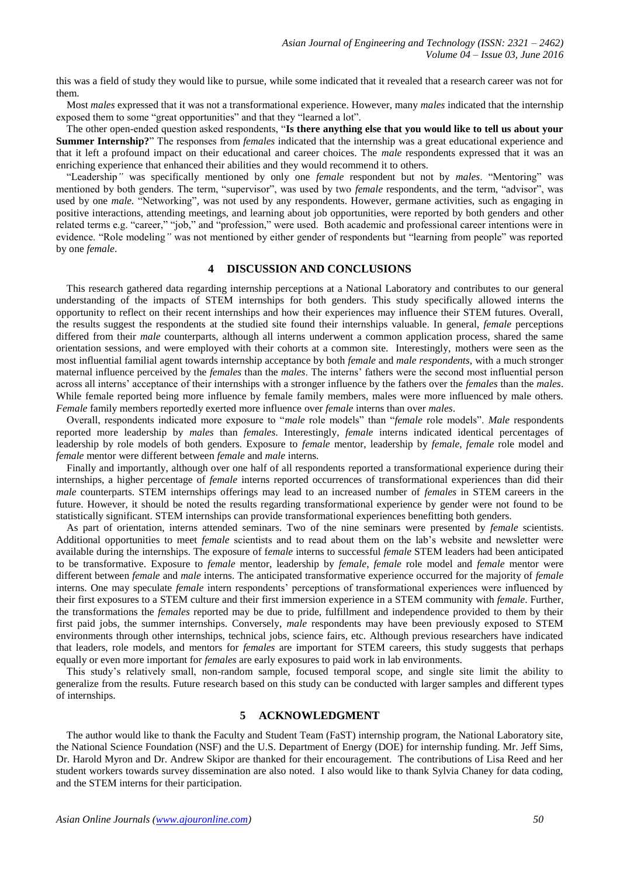this was a field of study they would like to pursue, while some indicated that it revealed that a research career was not for them.

 Most *males* expressed that it was not a transformational experience. However, many *males* indicated that the internship exposed them to some "great opportunities" and that they "learned a lot".

 The other open-ended question asked respondents, "**Is there anything else that you would like to tell us about your Summer Internship?**" The responses from *females* indicated that the internship was a great educational experience and that it left a profound impact on their educational and career choices. The *male* respondents expressed that it was an enriching experience that enhanced their abilities and they would recommend it to others.

 "Leadership*"* was specifically mentioned by only one *female* respondent but not by *males*. "Mentoring" was mentioned by both genders. The term, "supervisor", was used by two *female* respondents, and the term, "advisor", was used by one *male.* "Networking"*,* was not used by any respondents. However, germane activities, such as engaging in positive interactions, attending meetings, and learning about job opportunities, were reported by both genders and other related terms e.g. "career," "job," and "profession," were used. Both academic and professional career intentions were in evidence. "Role modeling*"* was not mentioned by either gender of respondents but "learning from people" was reported by one *female*.

## **4 DISCUSSION AND CONCLUSIONS**

 This research gathered data regarding internship perceptions at a National Laboratory and contributes to our general understanding of the impacts of STEM internships for both genders. This study specifically allowed interns the opportunity to reflect on their recent internships and how their experiences may influence their STEM futures. Overall, the results suggest the respondents at the studied site found their internships valuable. In general, *female* perceptions differed from their *male* counterparts, although all interns underwent a common application process, shared the same orientation sessions, and were employed with their cohorts at a common site. Interestingly, mothers were seen as the most influential familial agent towards internship acceptance by both *female* and *male respondents*, with a much stronger maternal influence perceived by the *females* than the *males*. The interns' fathers were the second most influential person across all interns' acceptance of their internships with a stronger influence by the fathers over the *females* than the *males*. While female reported being more influence by female family members, males were more influenced by male others. *Female* family members reportedly exerted more influence over *female* interns than over *males*.

 Overall, respondents indicated more exposure to "*male* role models" than "*female* role models". *Male* respondents reported more leadership by *males* than *females*. Interestingly, *female* interns indicated identical percentages of leadership by role models of both genders. Exposure to *female* mentor, leadership by *female*, *female* role model and *female* mentor were different between *female* and *male* interns.

 Finally and importantly, although over one half of all respondents reported a transformational experience during their internships, a higher percentage of *female* interns reported occurrences of transformational experiences than did their *male* counterparts. STEM internships offerings may lead to an increased number of *females* in STEM careers in the future. However, it should be noted the results regarding transformational experience by gender were not found to be statistically significant. STEM internships can provide transformational experiences benefitting both genders.

 As part of orientation, interns attended seminars. Two of the nine seminars were presented by *female* scientists. Additional opportunities to meet *female* scientists and to read about them on the lab's website and newsletter were available during the internships. The exposure of f*emale* interns to successful *female* STEM leaders had been anticipated to be transformative. Exposure to *female* mentor, leadership by *female*, *female* role model and *female* mentor were different between *female* and *male* interns. The anticipated transformative experience occurred for the majority of *female* interns. One may speculate *female* intern respondents' perceptions of transformational experiences were influenced by their first exposures to a STEM culture and their first immersion experience in a STEM community with *female*. Further, the transformations the *females* reported may be due to pride, fulfillment and independence provided to them by their first paid jobs, the summer internships. Conversely, *male* respondents may have been previously exposed to STEM environments through other internships, technical jobs, science fairs, etc. Although previous researchers have indicated that leaders, role models, and mentors for *females* are important for STEM careers, this study suggests that perhaps equally or even more important for *females* are early exposures to paid work in lab environments.

 This study's relatively small, non-random sample, focused temporal scope, and single site limit the ability to generalize from the results. Future research based on this study can be conducted with larger samples and different types of internships.

## **5 ACKNOWLEDGMENT**

 The author would like to thank the Faculty and Student Team (FaST) internship program, the National Laboratory site, the National Science Foundation (NSF) and the U.S. Department of Energy (DOE) for internship funding. Mr. Jeff Sims, Dr. Harold Myron and Dr. Andrew Skipor are thanked for their encouragement. The contributions of Lisa Reed and her student workers towards survey dissemination are also noted. I also would like to thank Sylvia Chaney for data coding, and the STEM interns for their participation.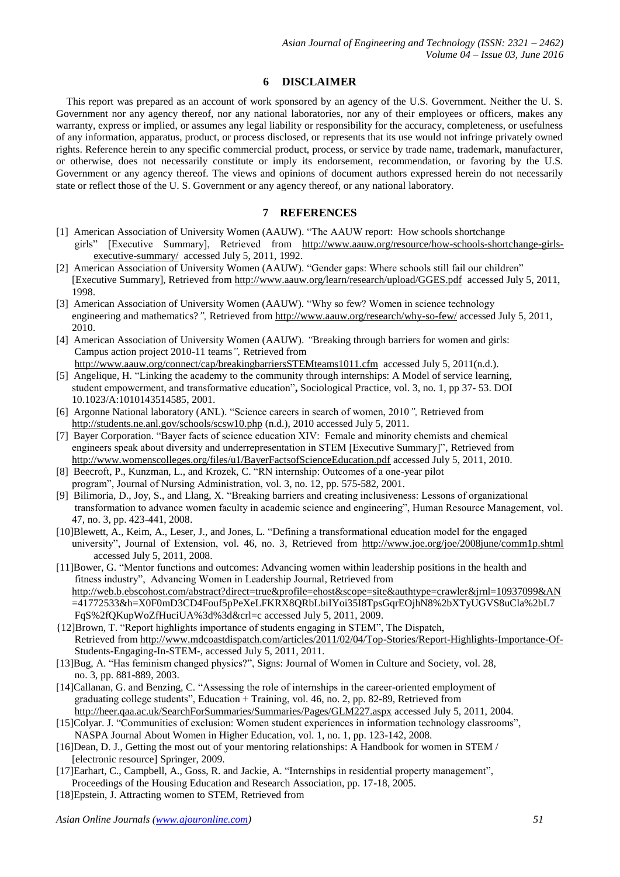## **6 DISCLAIMER**

 This report was prepared as an account of work sponsored by an agency of the U.S. Government. Neither the U. S. Government nor any agency thereof, nor any national laboratories, nor any of their employees or officers, makes any warranty, express or implied, or assumes any legal liability or responsibility for the accuracy, completeness, or usefulness of any information, apparatus, product, or process disclosed, or represents that its use would not infringe privately owned rights. Reference herein to any specific commercial product, process, or service by trade name, trademark, manufacturer, or otherwise, does not necessarily constitute or imply its endorsement, recommendation, or favoring by the U.S. Government or any agency thereof. The views and opinions of document authors expressed herein do not necessarily state or reflect those of the U. S. Government or any agency thereof, or any national laboratory.

## **7 REFERENCES**

- [1] American Association of University Women (AAUW). "The AAUW report: How schools shortchange girls" [Executive Summary], Retrieved from [http://www.aauw.org/resource/how-schools-shortchange-girls](http://www.aauw.org/resource/how-schools-shortchange-girls-executive-summary/)[executive-summary/](http://www.aauw.org/resource/how-schools-shortchange-girls-executive-summary/) accessed July 5, 2011, 1992.
- [2] American Association of University Women (AAUW). "Gender gaps: Where schools still fail our children" [Executive Summary], Retrieved from<http://www.aauw.org/learn/research/upload/GGES.pdf> accessed July 5, 2011, 1998.
- [3] American Association of University Women (AAUW). "Why so few? Women in science technology engineering and mathematics?", Retrieved fro[m http://www.aauw.org/research/why-so-few/](http://www.aauw.org/research/why-so-few/) accessed July 5, 2011, 2010.
- [4] American Association of University Women (AAUW). *"*Breaking through barriers for women and girls: Campus action project 2010-11 teams*",* Retrieved from <http://www.aauw.org/connect/cap/breakingbarriersSTEMteams1011.cfm> accessed July 5, 2011(n.d.).
- [5] Angelique, H. "Linking the academy to the community through internships: A Model of service learning, student empowerment, and transformative education"**,** Sociological Practice, vol. 3, no. 1, pp 37- 53. DOI 10.1023/A:1010143514585, 2001.
- [6] Argonne National laboratory (ANL). "Science careers in search of women, 2010*",* Retrieved from <http://students.ne.anl.gov/schools/scsw10.php> (n.d.), 2010 accessed July 5, 2011.
- [7] Bayer Corporation. "Bayer facts of science education XIV: Female and minority chemists and chemical engineers speak about diversity and underrepresentation in STEM [Executive Summary]", Retrieved from <http://www.womenscolleges.org/files/u1/BayerFactsofScienceEducation.pdf> accessed July 5, 2011, 2010.
- [8] Beecroft, P., Kunzman, L., and Krozek, C. "RN internship: Outcomes of a one-year pilot program", Journal of Nursing Administration, vol. 3, no. 12, pp. 575-582, 2001.
- [9] Bilimoria, D., Joy, S., and Llang, X. "Breaking barriers and creating inclusiveness: Lessons of organizational transformation to advance women faculty in academic science and engineering", Human Resource Management, vol. 47, no. 3, pp. 423-441, 2008.
- [10]Blewett, A., Keim, A., Leser, J., and Jones, L. "Defining a transformational education model for the engaged university", Journal of Extension, vol. 46, no. 3, Retrieved from <http://www.joe.org/joe/2008june/comm1p.shtml> accessed July 5, 2011, 2008.
- [11]Bower, G. "Mentor functions and outcomes: Advancing women within leadership positions in the health and fitness industry", Advancing Women in Leadership Journal*,* Retrieved from <http://web.b.ebscohost.com/abstract?direct=true&profile=ehost&scope=site&authtype=crawler&jrnl=10937099&AN> =41772533&h=X0F0mD3CD4Fouf5pPeXeLFKRX8QRbLbiIYoi35I8TpsGqrEOjhN8%2bXTyUGVS8uCla%2bL7 FqS%2fQKupWoZfHuciUA%3d%3d&crl=c accessed July 5, 2011, 2009.
- {12]Brown, T. "Report highlights importance of students engaging in STEM", The Dispatch, Retrieved from<http://www.mdcoastdispatch.com/articles/2011/02/04/Top-Stories/Report-Highlights-Importance-Of-> Students-Engaging-In-STEM-, accessed July 5, 2011, 2011.
- [13]Bug, A. "Has feminism changed physics?", Signs: Journal of Women in Culture and Society, vol. 28, no. 3, pp. 881-889, 2003.
- [14]Callanan, G. and Benzing, C. "Assessing the role of internships in the career-oriented employment of graduating college students", Education + Training, vol. 46, no. 2, pp. 82-89, Retrieved from <http://heer.qaa.ac.uk/SearchForSummaries/Summaries/Pages/GLM227.aspx> accessed July 5, 2011, 2004.
- [15]Colyar. J. "Communities of exclusion: Women student experiences in information technology classrooms", NASPA Journal About Women in Higher Education, vol. 1, no. 1, pp. 123-142, 2008.
- [16]Dean, D. J., Getting the most out of your mentoring [relationships: A Handbook](http://okstate.summon.serialssolutions.com/2.0.0/link/0/eLvHCXMwY2BQAJaJlsmp5mYpKYmJyRYplolp5mnGxinAtASsiyCHaCMO9EEqzd2EGJhS80QZ5NxcQ5w9dKF7auKh4xjxoNvjzIE1ohgDC7BnnAoACLsZYg) for women in STEM /  [\[electronic resource\]](http://okstate.summon.serialssolutions.com/2.0.0/link/0/eLvHCXMwY2BQAJaJlsmp5mYpKYmJyRYplolp5mnGxinAtASsiyCHaCMO9EEqzd2EGJhS80QZ5NxcQ5w9dKF7auKh4xjxoNvjzIE1ohgDC7BnnAoACLsZYg) Springer, 2009.
- [17]Earhart, C., Campbell, A., Goss, R. and Jackie, A. "Internships in residential property management", Proceedings of the Housing Education and Research Association, pp. 17-18, 2005.
- [18]Epstein, J. Attracting women to STEM, Retrieved from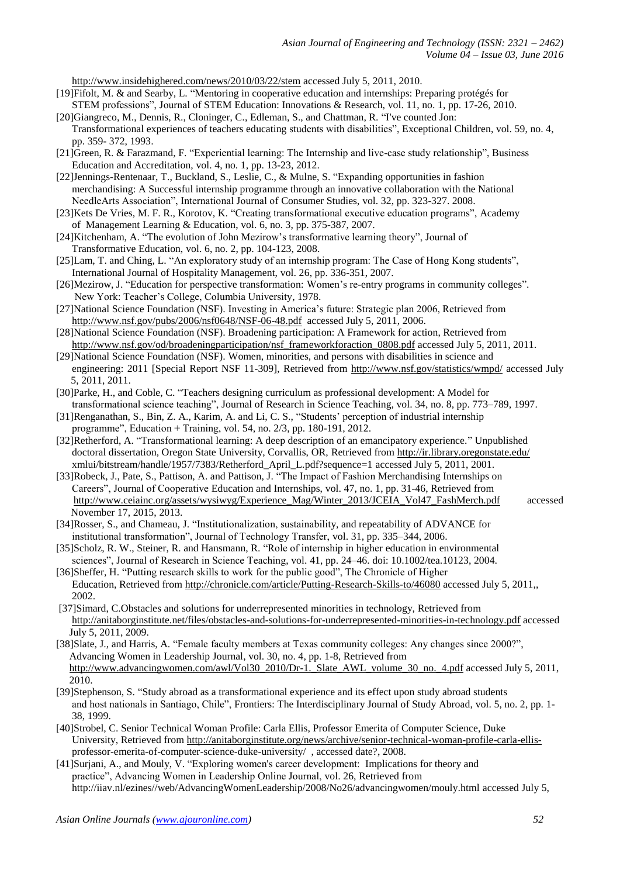<http://www.insidehighered.com/news/2010/03/22/stem> accessed July 5, 2011, 2010.

- [19]Fifolt, M. & and Searby, L. "Mentoring in cooperative education and internships: Preparing protégés for STEM professions", Journal of STEM Education: Innovations & Research, vol. 11, no. 1, pp. 17-26, 2010.
- [20]Giangreco, M., Dennis, R., Cloninger, C., Edleman, S., and Chattman, R. "I've counted Jon: Transformational experiences of teachers educating students with disabilities", Exceptional Children, vol. 59, no. 4, pp. 359- 372, 1993.
- [21]Green, R. & Farazmand, F. "Experiential learning: The Internship and live-case study relationship", Business Education and Accreditation, vol. 4, no. 1, pp. 13-23, 2012.
- [22]Jennings-Rentenaar, T., Buckland, S., Leslie, C., & Mulne, S. "Expanding opportunities in fashion merchandising: A Successful internship programme through an innovative collaboration with the National NeedleArts Association", International Journal of Consumer Studies, vol. 32, pp. 323-327. 2008.
- [23]Kets De Vries, M. F. R., Korotov, K. "Creating transformational executive education programs", Academy of Management Learning & Education, vol. 6, no. 3, pp. 375-387, 2007.
- [24]Kitchenham, A. "The evolution of John Mezirow's transformative learning theory", Journal of Transformative Education, vol. 6, no. 2, pp. 104-123, 2008.
- [25]Lam, T. and Ching, L. "An exploratory study of an internship program: The Case of Hong Kong students", International Journal of Hospitality Management, vol. 26, pp. 336-351, 2007.
- [26]Mezirow, J. "Education for perspective transformation: Women's re-entry programs in community colleges". New York: Teacher's College, Columbia University, 1978.
- [27]National Science Foundation (NSF). Investing in America's future: Strategic plan 2006, Retrieved from <http://www.nsf.gov/pubs/2006/nsf0648/NSF-06-48.pdf>accessed July 5, 2011, 2006.
- [28]National Science Foundation (NSF). Broadening participation: A Framework for action, Retrieved from [http://www.nsf.gov/od/broadeningparticipation/nsf\\_frameworkforaction\\_0808.pdf](http://www.nsf.gov/od/broadeningparticipation/nsf_frameworkforaction_0808.pdf) accessed July 5, 2011, 2011.
- [29]National Science Foundation (NSF). Women, minorities, and persons with disabilities in science and engineering: 2011 [Special Report NSF 11-309], Retrieved from<http://www.nsf.gov/statistics/wmpd/> accessed July 5, 2011, 2011.
- [30]Parke, H., and Coble, C. "Teachers designing curriculum as professional development: A Model for transformational science teaching", Journal of Research in Science Teaching, vol. 34, no. 8, pp. 773–789, 1997.
- [31]Renganathan, S., Bin, Z. A., Karim, A. and Li, C. S., "Students' perception of industrial internship programme", Education + Training, vol. 54, no. 2/3, pp. 180-191, 2012.
- [32]Retherford, A. "Transformational learning: A deep description of an emancipatory experience." Unpublished doctoral dissertation, Oregon State University, Corvallis, OR, Retrieved fro[m http://ir.library.oregonstate.edu/](http://ir.library.oregonstate.edu/) xmlui/bitstream/handle/1957/7383/Retherford\_April\_L.pdf?sequence=1 accessed July 5, 2011, 2001.
- [33]Robeck, J., Pate, S., Pattison, A. and Pattison, J. "The Impact of Fashion Merchandising Internships on Careers", Journal of Cooperative Education and Internships, vol. 47, no. 1, pp. 31-46, Retrieved from [http://www.ceiainc.org/assets/wysiwyg/Experience\\_Mag/Winter\\_2013/JCEIA\\_Vol47\\_FashMerch.pdf](http://www.ceiainc.org/assets/wysiwyg/Experience_Mag/Winter_2013/JCEIA_Vol47_FashMerch.pdf) accessed November 17, 2015, 2013.
- [34]Rosser, S., and Chameau, J. "Institutionalization, sustainability, and repeatability of ADVANCE for institutional transformation", Journal of Technology Transfer, vol. 31, pp. 335–344, 2006.
- [35]Scholz, R. W., Steiner, R. and Hansmann, R. "Role of internship in higher education in environmental sciences", Journal of Research in Science Teaching, vol. 41, pp. 24–46. doi: 10.1002/tea.10123, 2004.
- [36]Sheffer, H. "Putting research skills to work for the public good", The Chronicle of Higher Education, Retrieved from<http://chronicle.com/article/Putting-Research-Skills-to/46080> accessed July 5, 2011,, 2002.
- [37]Simard, C.Obstacles and solutions for underrepresented minorities in technology, Retrieved from <http://anitaborginstitute.net/files/obstacles-and-solutions-for-underrepresented-minorities-in-technology.pdf> accessed July 5, 2011, 2009.
- [38]Slate, J., and Harris, A. "Female faculty members at Texas community colleges: Any changes since 2000?", Advancing Women in Leadership Journal, vol. 30, no. 4, pp. 1-8, Retrieved from http://www.advancingwomen.com/awl/Vol30\_2010/Dr-1. Slate\_AWL\_volume\_30\_no.\_4.pdf accessed July 5, 2011, 2010.
- [39]Stephenson, S. "Study abroad as a transformational experience and its effect upon study abroad students and host nationals in Santiago, Chile", Frontiers: The Interdisciplinary Journal of Study Abroad, vol. 5, no. 2, pp. 1- 38, 1999.
- [40]Strobel, C. Senior Technical Woman Profile: Carla Ellis, Professor Emerita of Computer Science, Duke University, Retrieved from [http://anitaborginstitute.org/news/archive/senior-technical-woman-profile-carla-ellis](http://anitaborginstitute.org/news/archive/senior-technical-woman-profile-carla-ellis-) professor-emerita-of-computer-science-duke-university/ , accessed date?, 2008.
- [41]Surjani, A., and Mouly, V. "Exploring women's career development: Implications for theory and practice", Advancing Women in Leadership Online Journal, vol. 26, Retrieved from http://iiav.nl/ezines//web/AdvancingWomenLeadership/2008/No26/advancingwomen/mouly.html accessed July 5,